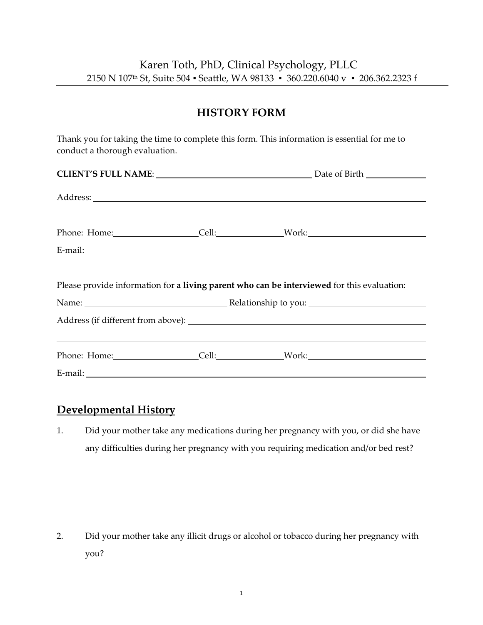### **HISTORY FORM**

Thank you for taking the time to complete this form. This information is essential for me to conduct a thorough evaluation.

|  | <u> 1989 - Andrea Santa Andrea Santa Andrea Santa Andrea Santa Andrea Santa Andrea Santa Andrea Santa Andrea San</u> |
|--|----------------------------------------------------------------------------------------------------------------------|
|  |                                                                                                                      |
|  | Please provide information for a living parent who can be interviewed for this evaluation:                           |
|  |                                                                                                                      |
|  |                                                                                                                      |
|  |                                                                                                                      |

#### **Developmental History**

1. Did your mother take any medications during her pregnancy with you, or did she have any difficulties during her pregnancy with you requiring medication and/or bed rest?

2. Did your mother take any illicit drugs or alcohol or tobacco during her pregnancy with you?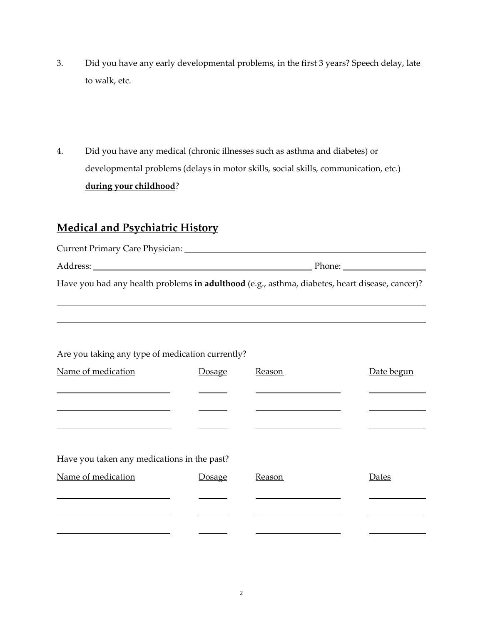- 3. Did you have any early developmental problems, in the first 3 years? Speech delay, late to walk, etc.
- 4. Did you have any medical (chronic illnesses such as asthma and diabetes) or developmental problems (delays in motor skills, social skills, communication, etc.) **during your childhood**?

# **Medical and Psychiatric History**

| <b>Current Primary Care Physician:</b>                                                         |        |
|------------------------------------------------------------------------------------------------|--------|
| Address:                                                                                       | Phone: |
| Have you had any health problems in adulthood (e.g., asthma, diabetes, heart disease, cancer)? |        |

| Are you taking any type of medication currently? |               |        |            |  |  |  |
|--------------------------------------------------|---------------|--------|------------|--|--|--|
| Name of medication                               | <b>Dosage</b> | Reason | Date begun |  |  |  |
|                                                  |               |        |            |  |  |  |
|                                                  |               |        |            |  |  |  |
|                                                  |               |        |            |  |  |  |
| Have you taken any medications in the past?      |               |        |            |  |  |  |
| Name of medication                               | <b>Dosage</b> | Reason | Dates      |  |  |  |
|                                                  |               |        |            |  |  |  |
|                                                  |               |        |            |  |  |  |
|                                                  |               |        |            |  |  |  |

2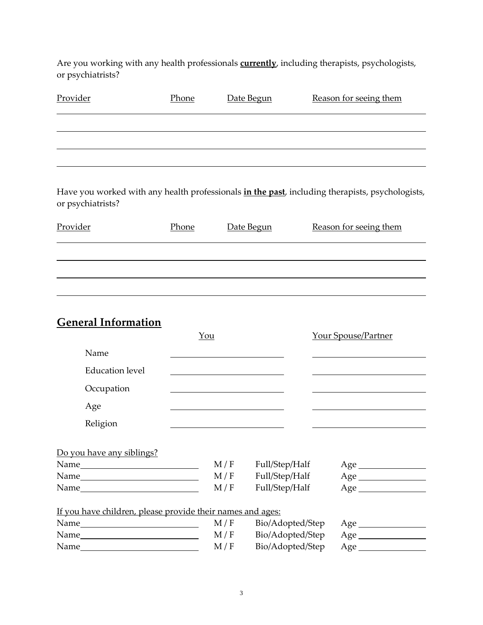Are you working with any health professionals **currently**, including therapists, psychologists, or psychiatrists?

| Provider | Phone | Date Begun | Reason for seeing them |
|----------|-------|------------|------------------------|
|          |       |            |                        |
|          |       |            |                        |
|          |       |            |                        |
|          |       |            |                        |

Have you worked with any health professionals **in the past**, including therapists, psychologists, or psychiatrists?

| Provider | Phone | Date Begun | Reason for seeing them |
|----------|-------|------------|------------------------|
|          |       |            |                        |
|          |       |            |                        |
|          |       |            |                        |

# **General Information**

|                                                            | You                   |                                                    | <b>Your Spouse/Partner</b> |  |  |
|------------------------------------------------------------|-----------------------|----------------------------------------------------|----------------------------|--|--|
| Name                                                       |                       |                                                    |                            |  |  |
| <b>Education</b> level                                     |                       |                                                    |                            |  |  |
| Occupation                                                 |                       |                                                    |                            |  |  |
| Age                                                        |                       |                                                    |                            |  |  |
| Religion                                                   |                       |                                                    |                            |  |  |
| Do you have any siblings?                                  | M / F<br>M / F<br>M/F | Full/Step/Half<br>Full/Step/Half<br>Full/Step/Half | $Age \_$                   |  |  |
| If you have children, please provide their names and ages: |                       |                                                    |                            |  |  |
|                                                            | M/F                   | Bio/Adopted/Step                                   |                            |  |  |
|                                                            | M/F                   | Bio/Adopted/Step                                   | Age                        |  |  |
|                                                            | M/F                   | Bio/Adopted/Step                                   |                            |  |  |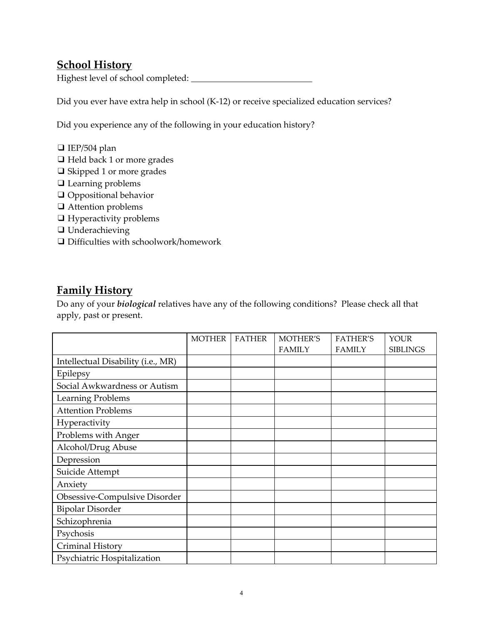### **School History**

Highest level of school completed:

Did you ever have extra help in school (K-12) or receive specialized education services?

Did you experience any of the following in your education history?

- ❑ IEP/504 plan
- ❑ Held back 1 or more grades
- ❑ Skipped 1 or more grades
- ❑ Learning problems
- ❑ Oppositional behavior
- ❑ Attention problems
- ❑ Hyperactivity problems
- ❑ Underachieving
- ❑ Difficulties with schoolwork/homework

#### **Family History**

Do any of your *biological* relatives have any of the following conditions? Please check all that apply, past or present.

|                                    | <b>MOTHER</b> | <b>FATHER</b> | MOTHER'S      | <b>FATHER'S</b> | <b>YOUR</b>     |
|------------------------------------|---------------|---------------|---------------|-----------------|-----------------|
|                                    |               |               | <b>FAMILY</b> | <b>FAMILY</b>   | <b>SIBLINGS</b> |
| Intellectual Disability (i.e., MR) |               |               |               |                 |                 |
| Epilepsy                           |               |               |               |                 |                 |
| Social Awkwardness or Autism       |               |               |               |                 |                 |
| Learning Problems                  |               |               |               |                 |                 |
| <b>Attention Problems</b>          |               |               |               |                 |                 |
| Hyperactivity                      |               |               |               |                 |                 |
| Problems with Anger                |               |               |               |                 |                 |
| Alcohol/Drug Abuse                 |               |               |               |                 |                 |
| Depression                         |               |               |               |                 |                 |
| Suicide Attempt                    |               |               |               |                 |                 |
| Anxiety                            |               |               |               |                 |                 |
| Obsessive-Compulsive Disorder      |               |               |               |                 |                 |
| <b>Bipolar Disorder</b>            |               |               |               |                 |                 |
| Schizophrenia                      |               |               |               |                 |                 |
| Psychosis                          |               |               |               |                 |                 |
| Criminal History                   |               |               |               |                 |                 |
| Psychiatric Hospitalization        |               |               |               |                 |                 |